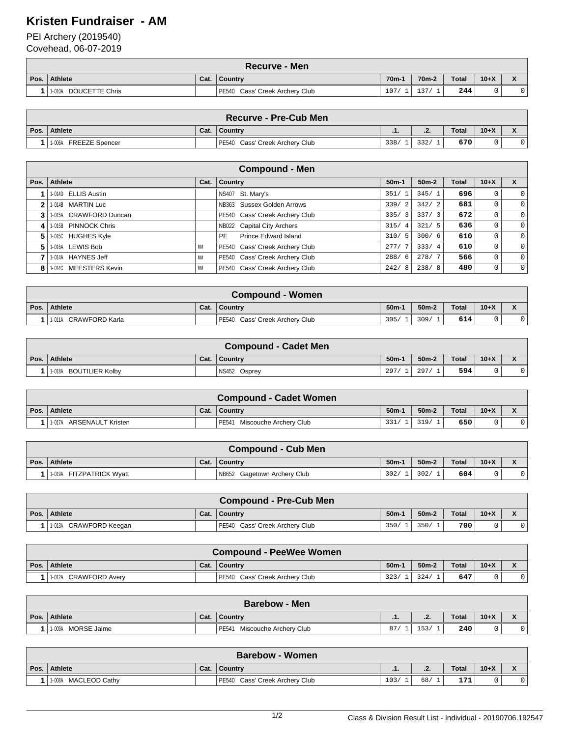## **Kristen Fundraiser - AM**

PEI Archery (2019540)

Covehead, 06-07-2019

|      | <b>Recurve - Men</b>     |      |                                |        |                    |              |        |                              |  |  |
|------|--------------------------|------|--------------------------------|--------|--------------------|--------------|--------|------------------------------|--|--|
| Pos. | Athlete                  | Cat. | ∣ Countrv                      | $70m-$ | 70 <sub>m</sub> -2 | <b>Total</b> | $10+X$ | $\mathbf{v}$<br>$\mathbf{r}$ |  |  |
|      | DOUCETTE Chris<br>1-010A |      | PE540 Cass' Creek Archery Club | 107/   | 137                | 244          |        |                              |  |  |

| <b>Recurve - Pre-Cub Men</b> |      |                                |      |        |              |        |  |  |
|------------------------------|------|--------------------------------|------|--------|--------------|--------|--|--|
| Pos. Athlete                 | Cat. | <b>'</b> Country               | .    | $\sim$ | <b>Total</b> | $10+X$ |  |  |
| FREEZE Spencer<br>1-006A     |      | PE540 Cass' Creek Archery Club | 338/ | 332    | 670          |        |  |  |

|      | <b>Compound - Men</b>  |      |                                          |                        |         |       |        |          |  |  |
|------|------------------------|------|------------------------------------------|------------------------|---------|-------|--------|----------|--|--|
| Pos. | Athlete                | Cat. | <b>Country</b>                           | $50m-1$                | $50m-2$ | Total | $10+X$ |          |  |  |
|      | 1-014D ELLIS Austin    |      | NS407 St. Mary's                         | 351/                   | 345/1   | 696   | Ü      | $\Omega$ |  |  |
| າ    | 1-014B MARTIN Luc      |      | NB363 Sussex Golden Arrows               | 339/<br>$\overline{2}$ | 342/2   | 681   | 0      | $\Omega$ |  |  |
|      | 1-015A CRAWFORD Duncan |      | PE540 Cass' Creek Archery Club           | 335/<br>3              | 337/3   | 672   | 0      | $\Omega$ |  |  |
| 4'   | 1-015B PINNOCK Chris   |      | NB022 Capital City Archers               | 315/<br>$\overline{4}$ | 321/5   | 636   | 0      | $\Omega$ |  |  |
| 5    | 1-015C HUGHES Kyle     |      | <b>Prince Edward Island</b><br><b>PE</b> | 310/<br>5              | 300/6   | 610   | 0      | $\Omega$ |  |  |
| 5    | 1-016A LEWIS Bob       | MM   | PE540 Cass' Creek Archery Club           | 277/                   | 333/4   | 610   | 0      | $\Omega$ |  |  |
|      | 1-014A HAYNES Jeff     | MM   | PE540 Cass' Creek Archery Club           | 288/<br>6              | 278/7   | 566   | 0      | $\Omega$ |  |  |
| 8    | 1-014C MEESTERS Kevin  | MM   | PE540 Cass' Creek Archery Club           | 242/<br>8              | 238/8   | 480   | 0      | $\Omega$ |  |  |

|      | <b>Compound - Women</b> |      |                                |        |         |       |        |  |  |  |
|------|-------------------------|------|--------------------------------|--------|---------|-------|--------|--|--|--|
| Pos. | Athlete                 | Cat. | Country                        | $50m-$ | $50m-2$ | Total | $10+X$ |  |  |  |
|      | 1-011A CRAWFORD Karla   |      | PE540 Cass' Creek Archery Club | 305/   | 309/    | 614   |        |  |  |  |

|      | <b>Compound - Cadet Men</b> |      |              |        |         |              |          |  |  |  |
|------|-----------------------------|------|--------------|--------|---------|--------------|----------|--|--|--|
| Pos. | Athlete                     | Cat. | Country      | $50m-$ | $50m-2$ | <b>Total</b> | $10 + X$ |  |  |  |
|      | 1-018A BOUTILIER Kolby      |      | NS452 Osprey | 297.   | 297.    | 594          |          |  |  |  |

| <b>Compound - Cadet Women</b> |      |                                 |                   |         |              |          |  |  |  |
|-------------------------------|------|---------------------------------|-------------------|---------|--------------|----------|--|--|--|
| Pos. Athlete                  | Cat. | Country                         | 50 <sub>m</sub> - | $50m-2$ | <b>Total</b> | $10 + X$ |  |  |  |
| ARSENAULT Kristen<br>1-017A   |      | Miscouche Archery Club<br>PE541 | 331.              | 319/    | 650          |          |  |  |  |

| <b>Compound - Cub Men</b> |      |                             |                 |         |       |        |  |  |  |
|---------------------------|------|-----------------------------|-----------------|---------|-------|--------|--|--|--|
| Pos.   Athlete            | Cat. | <b>Country</b>              | 50 <sub>m</sub> | $50m-2$ | Total | $10+X$ |  |  |  |
| 1-019A FITZPATRICK Wyatt  |      | NB652 Gagetown Archery Club | 302/            | 302/    | 604   |        |  |  |  |

|      | <b>Compound - Pre-Cub Men</b> |      |                                |                 |         |              |          |  |  |  |
|------|-------------------------------|------|--------------------------------|-----------------|---------|--------------|----------|--|--|--|
| Pos. | Athlete                       | Cat. | ∣ Country                      | 50 <sub>m</sub> | $50m-2$ | <b>Total</b> | $10 + X$ |  |  |  |
|      | 1.013A CRAWFORD Keegan        |      | PE540 Cass' Creek Archery Club | 350/            | 350/    | 700          |          |  |  |  |

|      | <b>Compound - PeeWee Women</b> |      |                                |                   |         |              |          |  |  |  |
|------|--------------------------------|------|--------------------------------|-------------------|---------|--------------|----------|--|--|--|
| Pos. | Athlete                        | Cat. | ∣ Countrv                      | 50 <sub>m</sub> - | $50m-2$ | <b>Total</b> | $10 + X$ |  |  |  |
|      | 1-012A CRAWFORD Avery          |      | PE540 Cass' Creek Archery Club | 323/              | 324/    | 647          |          |  |  |  |

|      | <b>Barebow - Men</b>  |      |                              |    |      |              |        |              |  |  |
|------|-----------------------|------|------------------------------|----|------|--------------|--------|--------------|--|--|
| Pos. | Athlete               | Cat. | <b>Country</b> ↓             | .  | . z. | <b>Total</b> | $10+X$ | $\mathbf{r}$ |  |  |
|      | MORSE Jaime<br>1-009A |      | PE541 Miscouche Archery Club | 87 | 153/ | 240          |        |              |  |  |

|      | <b>Barebow - Women</b>           |      |                                |      |          |              |        |                                          |  |  |
|------|----------------------------------|------|--------------------------------|------|----------|--------------|--------|------------------------------------------|--|--|
| Pos. | Athlete                          | Cat. | <b>Country</b>                 | .    | -<br>. . | <b>Total</b> | $10+X$ | $\overline{\phantom{a}}$<br>$\mathbf{v}$ |  |  |
|      | <b>MACLEOD Cathy</b><br>. 1-008A |      | PE540 Cass' Creek Archery Club | 103. | 68/      | 171          |        | ີ                                        |  |  |